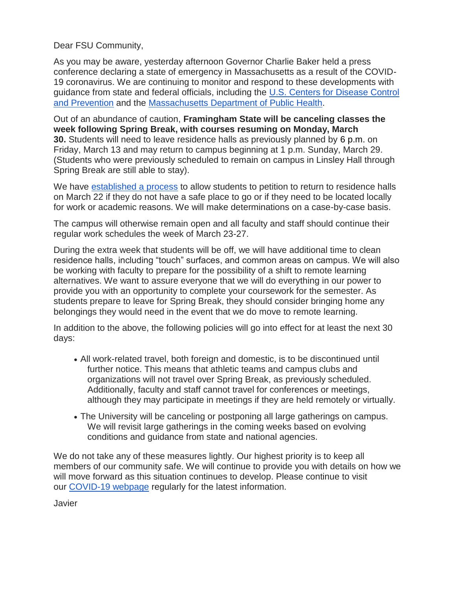Dear FSU Community,

As you may be aware, yesterday afternoon Governor Charlie Baker held a press conference declaring a state of emergency in Massachusetts as a result of the COVID-19 coronavirus. We are continuing to monitor and respond to these developments with guidance from state and federal officials, including the [U.S. Centers for Disease Control](https://www.cdc.gov/coronavirus/2019-ncov/index.html)  [and Prevention](https://www.cdc.gov/coronavirus/2019-ncov/index.html) and the [Massachusetts Department of Public Health.](https://www.mass.gov/resource/information-on-the-outbreak-of-coronavirus-disease-2019-covid-19)

Out of an abundance of caution, **Framingham State will be canceling classes the week following Spring Break, with courses resuming on Monday, March 30.** Students will need to leave residence halls as previously planned by 6 p.m. on Friday, March 13 and may return to campus beginning at 1 p.m. Sunday, March 29. (Students who were previously scheduled to remain on campus in Linsley Hall through Spring Break are still able to stay).

We have [established a process](https://framingham.qualtrics.com/jfe/form/SV_5sxZSdvN2ltCR8x) to allow students to petition to return to residence halls on March 22 if they do not have a safe place to go or if they need to be located locally for work or academic reasons. We will make determinations on a case-by-case basis.

The campus will otherwise remain open and all faculty and staff should continue their regular work schedules the week of March 23-27.

During the extra week that students will be off, we will have additional time to clean residence halls, including "touch" surfaces, and common areas on campus. We will also be working with faculty to prepare for the possibility of a shift to remote learning alternatives. We want to assure everyone that we will do everything in our power to provide you with an opportunity to complete your coursework for the semester. As students prepare to leave for Spring Break, they should consider bringing home any belongings they would need in the event that we do move to remote learning.

In addition to the above, the following policies will go into effect for at least the next 30 days:

- All work-related travel, both foreign and domestic, is to be discontinued until further notice. This means that athletic teams and campus clubs and organizations will not travel over Spring Break, as previously scheduled. Additionally, faculty and staff cannot travel for conferences or meetings, although they may participate in meetings if they are held remotely or virtually.
- The University will be canceling or postponing all large gatherings on campus. We will revisit large gatherings in the coming weeks based on evolving conditions and guidance from state and national agencies.

We do not take any of these measures lightly. Our highest priority is to keep all members of our community safe. We will continue to provide you with details on how we will move forward as this situation continues to develop. Please continue to visit our [COVID-19 webpage](https://www.framingham.edu/about-fsu/news-and-events/covid-19-updates-resources-and-information.html) regularly for the latest information.

Javier